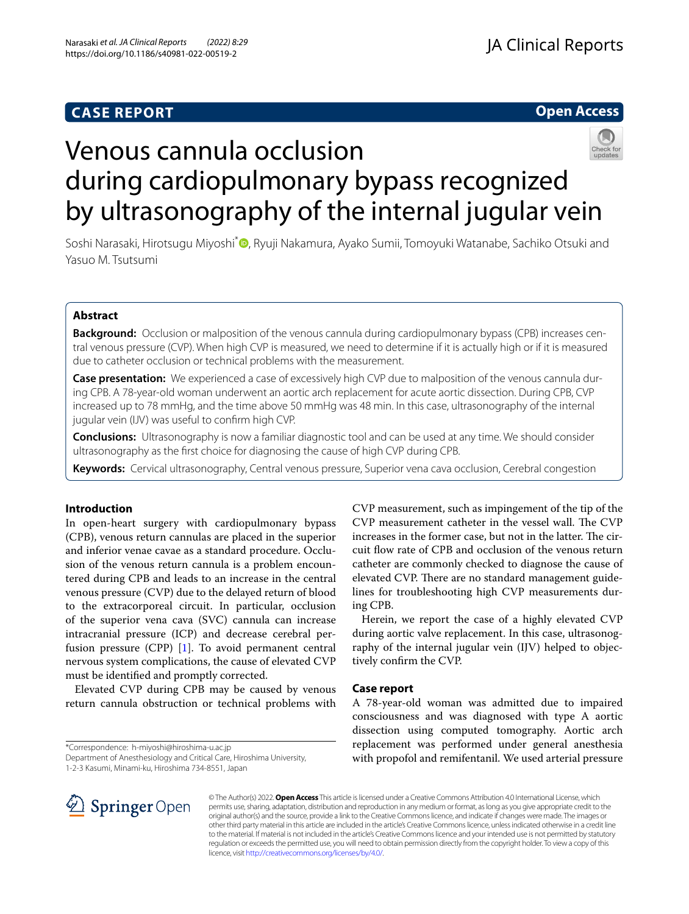## **CASE REPORT**

**Open Access**

# Venous cannula occlusion during cardiopulmonary bypass recognized by ultrasonography of the internal jugular vein

Soshi Narasaki[,](http://orcid.org/0000-0002-1375-5344) Hirotsugu Miyoshi<sup>\*</sup> , Ryuji Nakamura, Ayako Sumii, Tomoyuki Watanabe, Sachiko Otsuki and Yasuo M. Tsutsumi

## **Abstract**

**Background:** Occlusion or malposition of the venous cannula during cardiopulmonary bypass (CPB) increases central venous pressure (CVP). When high CVP is measured, we need to determine if it is actually high or if it is measured due to catheter occlusion or technical problems with the measurement.

**Case presentation:** We experienced a case of excessively high CVP due to malposition of the venous cannula during CPB. A 78-year-old woman underwent an aortic arch replacement for acute aortic dissection. During CPB, CVP increased up to 78 mmHg, and the time above 50 mmHg was 48 min. In this case, ultrasonography of the internal jugular vein (IJV) was useful to confrm high CVP.

**Conclusions:** Ultrasonography is now a familiar diagnostic tool and can be used at any time. We should consider ultrasonography as the frst choice for diagnosing the cause of high CVP during CPB.

**Keywords:** Cervical ultrasonography, Central venous pressure, Superior vena cava occlusion, Cerebral congestion

## **Introduction**

In open-heart surgery with cardiopulmonary bypass (CPB), venous return cannulas are placed in the superior and inferior venae cavae as a standard procedure. Occlusion of the venous return cannula is a problem encountered during CPB and leads to an increase in the central venous pressure (CVP) due to the delayed return of blood to the extracorporeal circuit. In particular, occlusion of the superior vena cava (SVC) cannula can increase intracranial pressure (ICP) and decrease cerebral perfusion pressure (CPP) [\[1](#page-3-0)]. To avoid permanent central nervous system complications, the cause of elevated CVP must be identifed and promptly corrected.

Elevated CVP during CPB may be caused by venous return cannula obstruction or technical problems with

\*Correspondence: h-miyoshi@hiroshima-u.ac.jp

Department of Anesthesiology and Critical Care, Hiroshima University,

1-2-3 Kasumi, Minami-ku, Hiroshima 734-8551, Japan



CVP measurement, such as impingement of the tip of the CVP measurement catheter in the vessel wall. The CVP increases in the former case, but not in the latter. The circuit fow rate of CPB and occlusion of the venous return catheter are commonly checked to diagnose the cause of elevated CVP. There are no standard management guidelines for troubleshooting high CVP measurements during CPB.

Herein, we report the case of a highly elevated CVP during aortic valve replacement. In this case, ultrasonography of the internal jugular vein (IJV) helped to objectively confrm the CVP.

### **Case report**

A 78-year-old woman was admitted due to impaired consciousness and was diagnosed with type A aortic dissection using computed tomography. Aortic arch replacement was performed under general anesthesia with propofol and remifentanil. We used arterial pressure

© The Author(s) 2022. **Open Access** This article is licensed under a Creative Commons Attribution 4.0 International License, which permits use, sharing, adaptation, distribution and reproduction in any medium or format, as long as you give appropriate credit to the original author(s) and the source, provide a link to the Creative Commons licence, and indicate if changes were made. The images or other third party material in this article are included in the article's Creative Commons licence, unless indicated otherwise in a credit line to the material. If material is not included in the article's Creative Commons licence and your intended use is not permitted by statutory regulation or exceeds the permitted use, you will need to obtain permission directly from the copyright holder. To view a copy of this licence, visit [http://creativecommons.org/licenses/by/4.0/.](http://creativecommons.org/licenses/by/4.0/)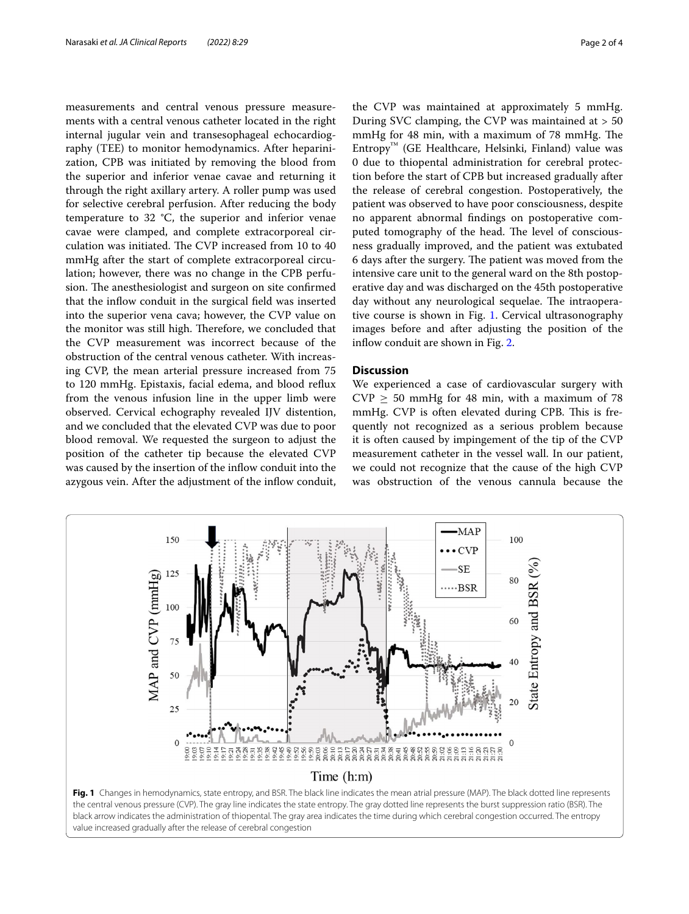measurements and central venous pressure measurements with a central venous catheter located in the right internal jugular vein and transesophageal echocardiography (TEE) to monitor hemodynamics. After heparinization, CPB was initiated by removing the blood from the superior and inferior venae cavae and returning it through the right axillary artery. A roller pump was used for selective cerebral perfusion. After reducing the body temperature to 32 °C, the superior and inferior venae cavae were clamped, and complete extracorporeal circulation was initiated. The CVP increased from 10 to 40 mmHg after the start of complete extracorporeal circulation; however, there was no change in the CPB perfusion. The anesthesiologist and surgeon on site confirmed that the infow conduit in the surgical feld was inserted into the superior vena cava; however, the CVP value on the monitor was still high. Therefore, we concluded that the CVP measurement was incorrect because of the obstruction of the central venous catheter. With increasing CVP, the mean arterial pressure increased from 75 to 120 mmHg. Epistaxis, facial edema, and blood refux from the venous infusion line in the upper limb were observed. Cervical echography revealed IJV distention, and we concluded that the elevated CVP was due to poor blood removal. We requested the surgeon to adjust the position of the catheter tip because the elevated CVP was caused by the insertion of the inflow conduit into the azygous vein. After the adjustment of the infow conduit,

the CVP was maintained at approximately 5 mmHg. During SVC clamping, the CVP was maintained at > 50 mmHg for 48 min, with a maximum of 78 mmHg. The  $Entropy^M$  (GE Healthcare, Helsinki, Finland) value was 0 due to thiopental administration for cerebral protection before the start of CPB but increased gradually after the release of cerebral congestion. Postoperatively, the patient was observed to have poor consciousness, despite no apparent abnormal fndings on postoperative computed tomography of the head. The level of consciousness gradually improved, and the patient was extubated 6 days after the surgery. The patient was moved from the intensive care unit to the general ward on the 8th postoperative day and was discharged on the 45th postoperative day without any neurological sequelae. The intraoperative course is shown in Fig. [1](#page-1-0). Cervical ultrasonography images before and after adjusting the position of the inflow conduit are shown in Fig. [2.](#page-2-0)

## **Discussion**

We experienced a case of cardiovascular surgery with  $CVP > 50$  mmHg for 48 min, with a maximum of 78 mmHg. CVP is often elevated during CPB. This is frequently not recognized as a serious problem because it is often caused by impingement of the tip of the CVP measurement catheter in the vessel wall. In our patient, we could not recognize that the cause of the high CVP was obstruction of the venous cannula because the

<span id="page-1-0"></span>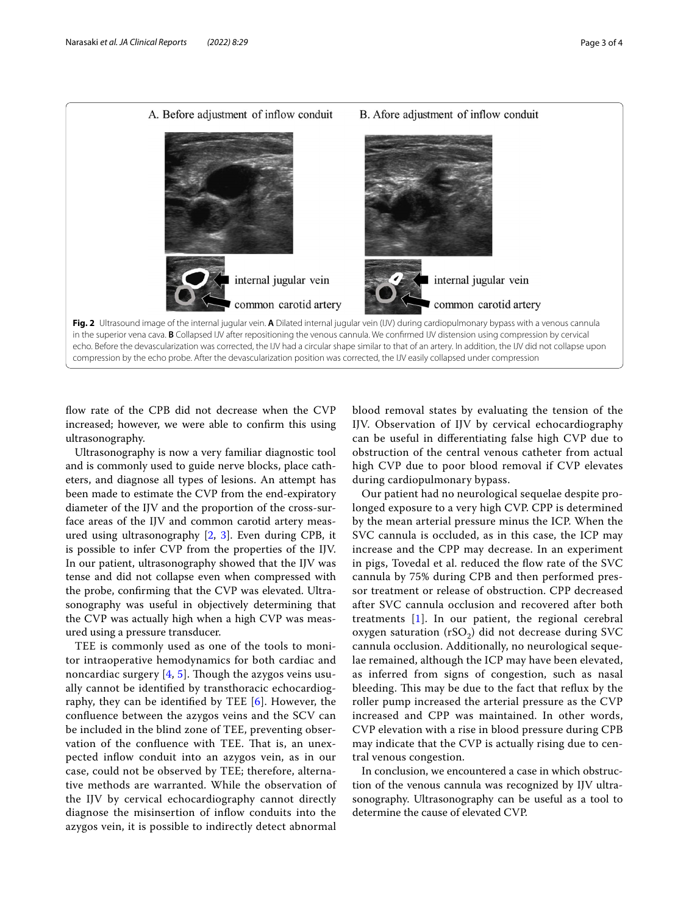

<span id="page-2-0"></span>flow rate of the CPB did not decrease when the CVP increased; however, we were able to confrm this using ultrasonography.

Ultrasonography is now a very familiar diagnostic tool and is commonly used to guide nerve blocks, place catheters, and diagnose all types of lesions. An attempt has been made to estimate the CVP from the end-expiratory diameter of the IJV and the proportion of the cross-surface areas of the IJV and common carotid artery measured using ultrasonography [[2,](#page-3-1) [3\]](#page-3-2). Even during CPB, it is possible to infer CVP from the properties of the IJV. In our patient, ultrasonography showed that the IJV was tense and did not collapse even when compressed with the probe, confrming that the CVP was elevated. Ultrasonography was useful in objectively determining that the CVP was actually high when a high CVP was measured using a pressure transducer.

TEE is commonly used as one of the tools to monitor intraoperative hemodynamics for both cardiac and noncardiac surgery  $[4, 5]$  $[4, 5]$  $[4, 5]$ . Though the azygos veins usually cannot be identifed by transthoracic echocardiography, they can be identified by TEE  $[6]$  $[6]$ . However, the confuence between the azygos veins and the SCV can be included in the blind zone of TEE, preventing observation of the confluence with TEE. That is, an unexpected infow conduit into an azygos vein, as in our case, could not be observed by TEE; therefore, alternative methods are warranted. While the observation of the IJV by cervical echocardiography cannot directly diagnose the misinsertion of infow conduits into the azygos vein, it is possible to indirectly detect abnormal blood removal states by evaluating the tension of the IJV. Observation of IJV by cervical echocardiography can be useful in diferentiating false high CVP due to obstruction of the central venous catheter from actual high CVP due to poor blood removal if CVP elevates during cardiopulmonary bypass.

Our patient had no neurological sequelae despite prolonged exposure to a very high CVP. CPP is determined by the mean arterial pressure minus the ICP. When the SVC cannula is occluded, as in this case, the ICP may increase and the CPP may decrease. In an experiment in pigs, Tovedal et al. reduced the fow rate of the SVC cannula by 75% during CPB and then performed pressor treatment or release of obstruction. CPP decreased after SVC cannula occlusion and recovered after both treatments [[1](#page-3-0)]. In our patient, the regional cerebral oxygen saturation (rSO<sub>2</sub>) did not decrease during SVC cannula occlusion. Additionally, no neurological sequelae remained, although the ICP may have been elevated, as inferred from signs of congestion, such as nasal bleeding. This may be due to the fact that reflux by the roller pump increased the arterial pressure as the CVP increased and CPP was maintained. In other words, CVP elevation with a rise in blood pressure during CPB may indicate that the CVP is actually rising due to central venous congestion.

In conclusion, we encountered a case in which obstruction of the venous cannula was recognized by IJV ultrasonography. Ultrasonography can be useful as a tool to determine the cause of elevated CVP.